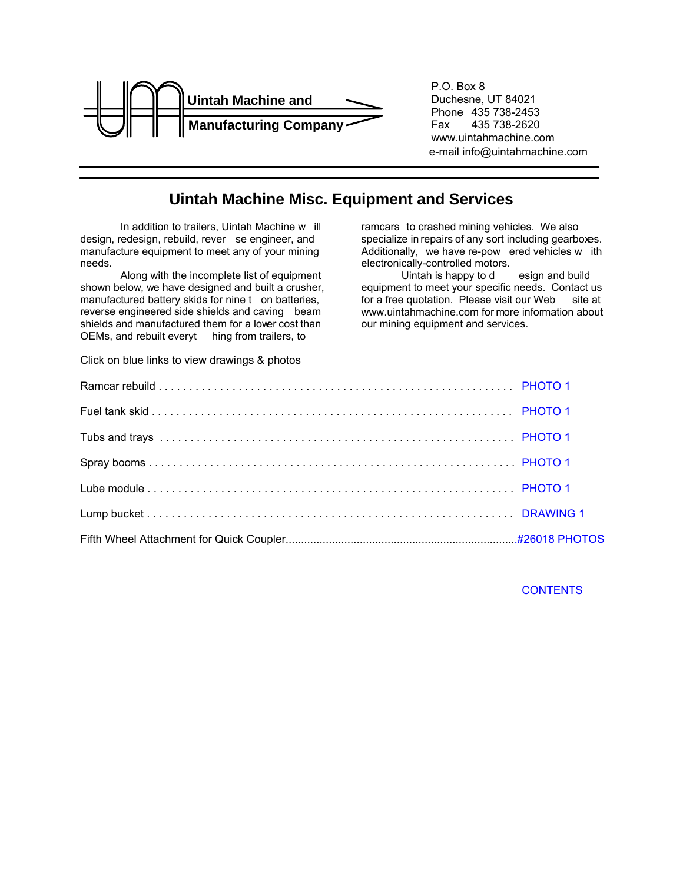<span id="page-0-2"></span><span id="page-0-0"></span>

<span id="page-0-1"></span>P.O. Box 8 Duchesne, UT 84021 Phone 435 738-2453<br>Fax 435 738-2620 435 738-2620 www.uintahmachine.com e-mail info@uintahmachine.com

## **Uintah Machine Misc. Equipment and Services**

In addition to trailers, Uintah Machine w ill design, redesign, rebuild, rever se engineer, and manufacture equipment to meet any of your mining needs.

Along with the incomplete list of equipment shown below, we have designed and built a crusher, manufactured battery skids for nine t on batteries, reverse engineered side shields and caving beam shields and manufactured them for a lower cost than OEMs, and rebuilt everyt hing from trailers, to

ramcars to crashed mining vehicles. We also specialize in repairs of any sort including gearboxes. Additionally, we have re-pow ered vehicles w ith electronically-controlled motors.

Uintah is happy to design and build equipment to meet your specific needs. Contact us for a free quotation. Please visit our Web site at www.uintahmachine.com for more information about our mining equipment and services.

Click on blue links to view drawings & photos

**CONTENTS**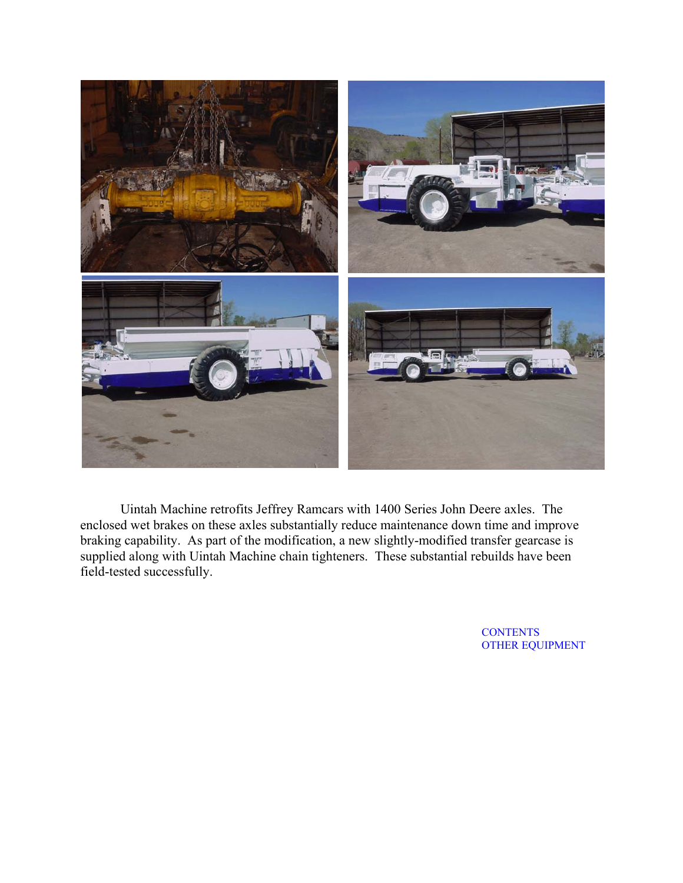<span id="page-1-0"></span>

Uintah Machine retrofits Jeffrey Ramcars with 1400 Series John Deere axles. The enclosed wet brakes on these axles substantially reduce maintenance down time and improve braking capability. As part of the modification, a new slightly-modified transfer gearcase is supplied along with Uintah Machine chain tighteners. These substantial rebuilds have been field-tested successfully.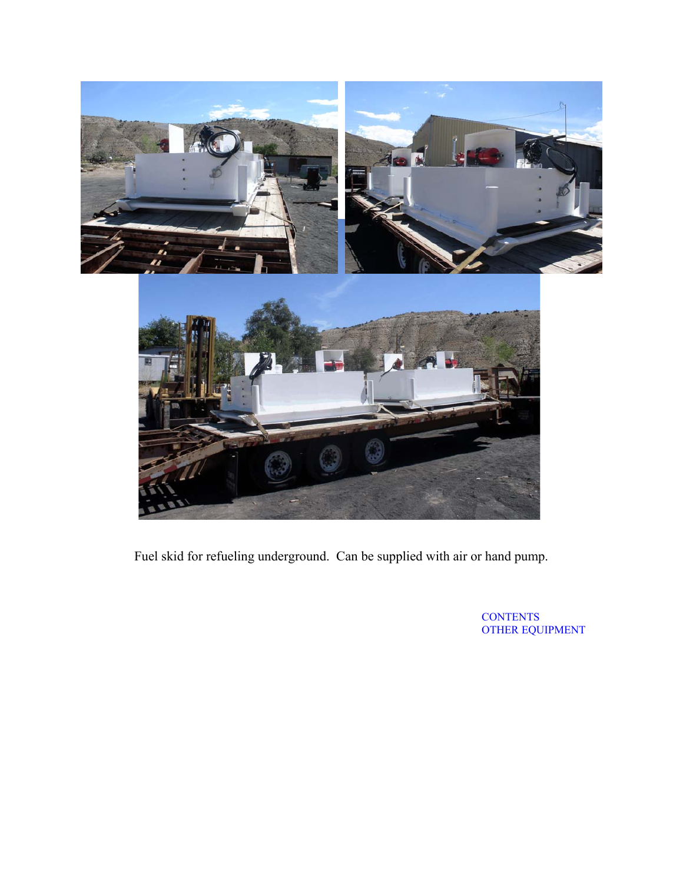<span id="page-2-0"></span>

Fuel skid for refueling underground. Can be supplied with air or hand pump.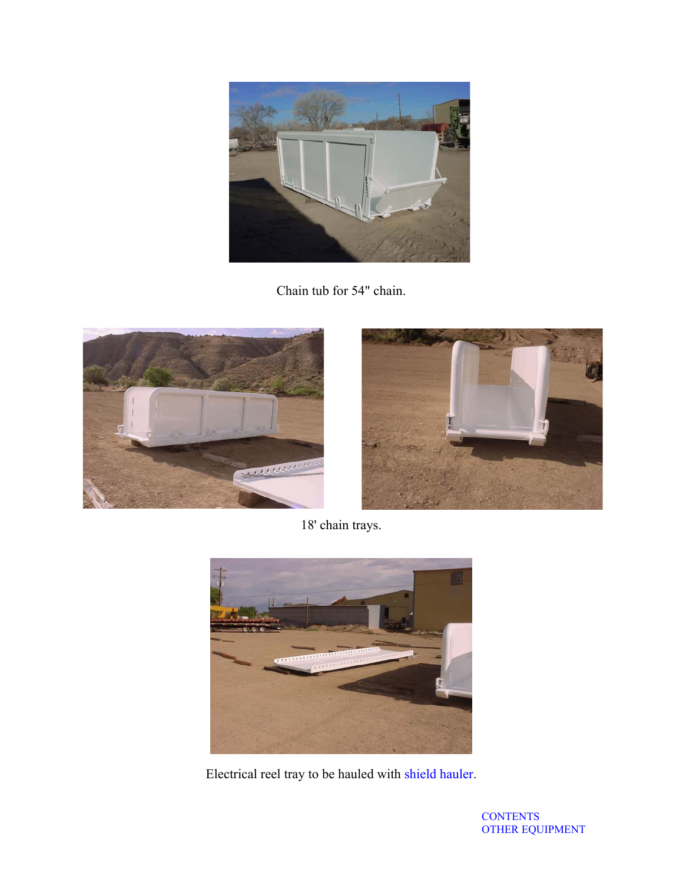<span id="page-3-0"></span>

Chain tub for 54" chain.





18' chain trays.



Electrical reel tray to be hauled with shield hauler.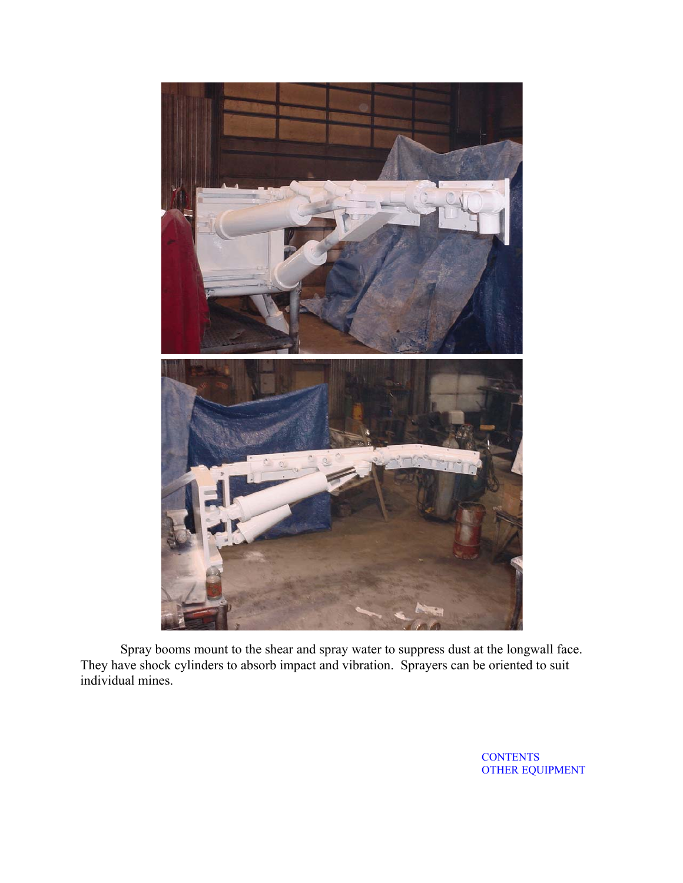<span id="page-4-0"></span>

Spray booms mount to the shear and spray water to suppress dust at the longwall face. They have shock cylinders to absorb impact and vibration. Sprayers can be oriented to suit individual mines.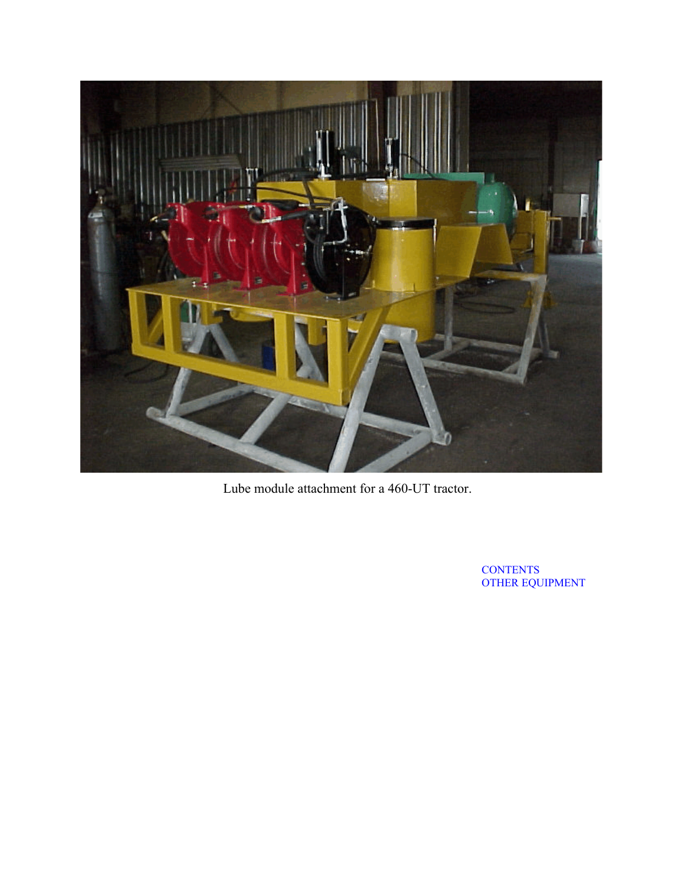<span id="page-5-0"></span>

Lube module attachment for a 460-UT tractor.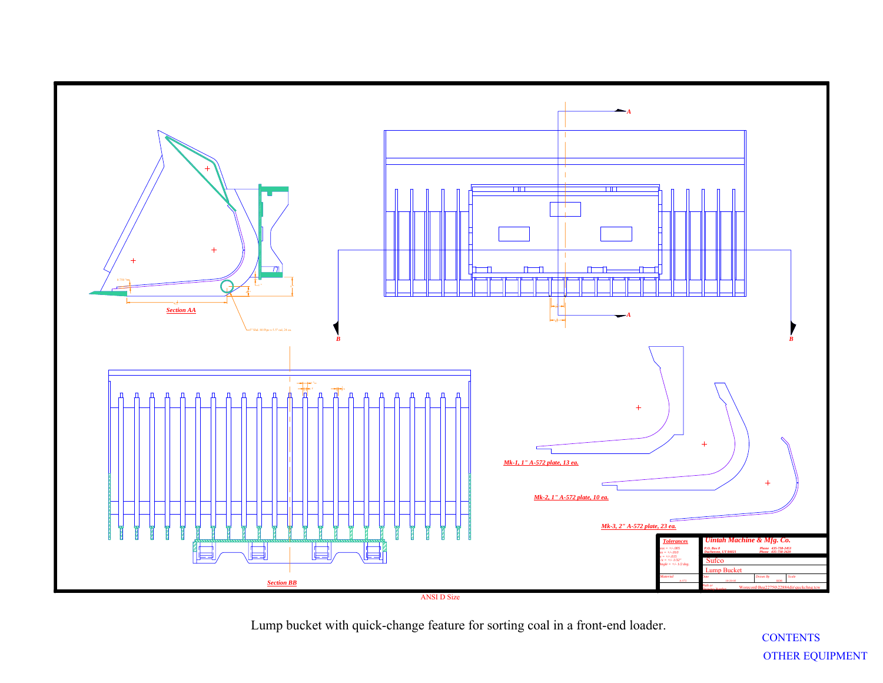

<span id="page-6-0"></span>Lump bucket with quick-change feature for sorting coal in a front-end loader.